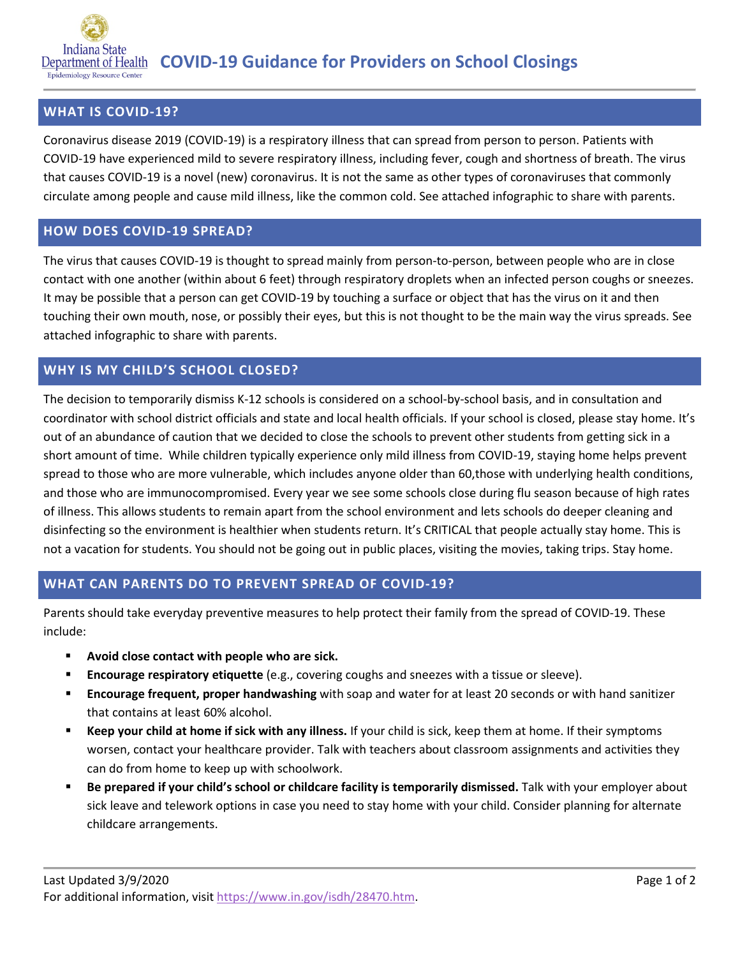

## **WHAT IS COVID-19?**

Coronavirus disease 2019 (COVID-19) is a respiratory illness that can spread from person to person. Patients with COVID-19 have experienced mild to severe respiratory illness, including fever, cough and shortness of breath. The virus that causes COVID-19 is a novel (new) coronavirus. It is not the same as other types of coronaviruses that commonly circulate among people and cause mild illness, like the common cold. See attached infographic to share with parents.

### **HOW DOES COVID-19 SPREAD?**

The virus that causes COVID-19 is thought to spread mainly from person-to-person, between people who are in close contact with one another (within about 6 feet) through respiratory droplets when an infected person coughs or sneezes. It may be possible that a person can get COVID-19 by touching a surface or object that has the virus on it and then touching their own mouth, nose, or possibly their eyes, but this is not thought to be the main way the virus spreads. See attached infographic to share with parents.

## **WHY IS MY CHILD'S SCHOOL CLOSED?**

The decision to temporarily dismiss K-12 schools is considered on a school-by-school basis, and in consultation and coordinator with school district officials and state and local health officials. If your school is closed, please stay home. It's out of an abundance of caution that we decided to close the schools to prevent other students from getting sick in a short amount of time. While children typically experience only mild illness from COVID-19, staying home helps prevent spread to those who are more vulnerable, which includes anyone older than 60,those with underlying health conditions, and those who are immunocompromised. Every year we see some schools close during flu season because of high rates of illness. This allows students to remain apart from the school environment and lets schools do deeper cleaning and disinfecting so the environment is healthier when students return. It's CRITICAL that people actually stay home. This is not a vacation for students. You should not be going out in public places, visiting the movies, taking trips. Stay home.

### **WHAT CAN PARENTS DO TO PREVENT SPREAD OF COVID-19?**

Parents should take everyday preventive measures to help protect their family from the spread of COVID-19. These include:

- **Avoid close contact with people who are sick.**
- **Encourage respiratory etiquette** (e.g., covering coughs and sneezes with a tissue or sleeve).
- **Encourage frequent, proper handwashing** with soap and water for at least 20 seconds or with hand sanitizer that contains at least 60% alcohol.
- **Keep your child at home if sick with any illness.** If your child is sick, keep them at home. If their symptoms worsen, contact your healthcare provider. Talk with teachers about classroom assignments and activities they can do from home to keep up with schoolwork.
- **Be prepared if your child's school or childcare facility is temporarily dismissed.** Talk with your employer about sick leave and telework options in case you need to stay home with your child. Consider planning for alternate childcare arrangements.